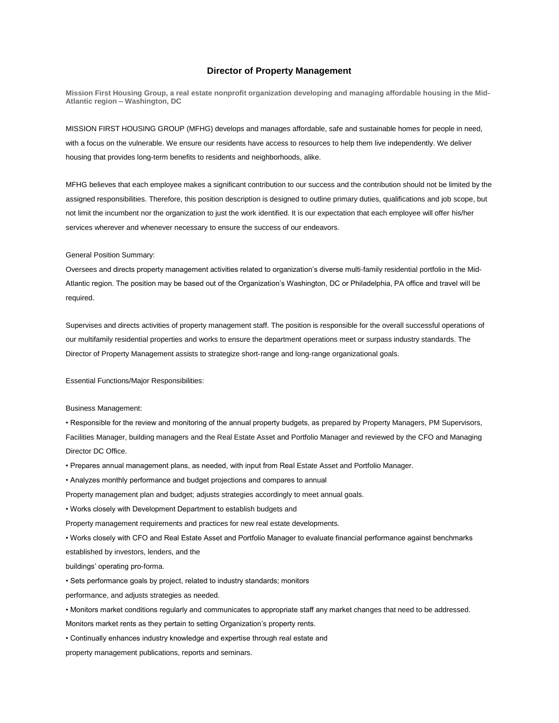# **Director of Property Management**

**Mission First Housing Group, a real estate nonprofit organization developing and managing affordable housing in the Mid-Atlantic region – Washington, DC**

MISSION FIRST HOUSING GROUP (MFHG) develops and manages affordable, safe and sustainable homes for people in need, with a focus on the vulnerable. We ensure our residents have access to resources to help them live independently. We deliver housing that provides long-term benefits to residents and neighborhoods, alike.

MFHG believes that each employee makes a significant contribution to our success and the contribution should not be limited by the assigned responsibilities. Therefore, this position description is designed to outline primary duties, qualifications and job scope, but not limit the incumbent nor the organization to just the work identified. It is our expectation that each employee will offer his/her services wherever and whenever necessary to ensure the success of our endeavors.

General Position Summary:

Oversees and directs property management activities related to organization's diverse multi-family residential portfolio in the Mid-Atlantic region. The position may be based out of the Organization's Washington, DC or Philadelphia, PA office and travel will be required.

Supervises and directs activities of property management staff. The position is responsible for the overall successful operations of our multifamily residential properties and works to ensure the department operations meet or surpass industry standards. The Director of Property Management assists to strategize short‐range and long‐range organizational goals.

Essential Functions/Major Responsibilities:

Business Management:

• Responsible for the review and monitoring of the annual property budgets, as prepared by Property Managers, PM Supervisors, Facilities Manager, building managers and the Real Estate Asset and Portfolio Manager and reviewed by the CFO and Managing Director DC Office.

• Prepares annual management plans, as needed, with input from Real Estate Asset and Portfolio Manager.

• Analyzes monthly performance and budget projections and compares to annual

Property management plan and budget; adjusts strategies accordingly to meet annual goals.

• Works closely with Development Department to establish budgets and

Property management requirements and practices for new real estate developments.

• Works closely with CFO and Real Estate Asset and Portfolio Manager to evaluate financial performance against benchmarks established by investors, lenders, and the

buildings' operating pro-forma.

• Sets performance goals by project, related to industry standards; monitors

performance, and adjusts strategies as needed.

• Monitors market conditions regularly and communicates to appropriate staff any market changes that need to be addressed.

Monitors market rents as they pertain to setting Organization's property rents.

• Continually enhances industry knowledge and expertise through real estate and

property management publications, reports and seminars.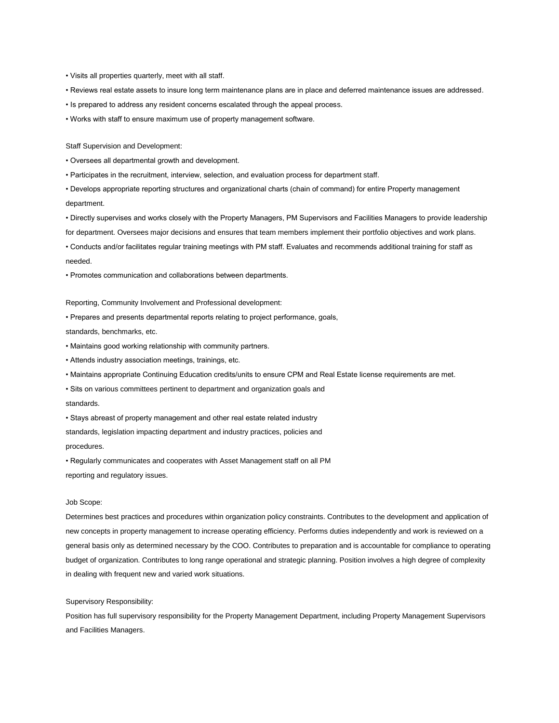- Visits all properties quarterly, meet with all staff.
- Reviews real estate assets to insure long term maintenance plans are in place and deferred maintenance issues are addressed.
- Is prepared to address any resident concerns escalated through the appeal process.
- Works with staff to ensure maximum use of property management software.

Staff Supervision and Development:

- Oversees all departmental growth and development.
- Participates in the recruitment, interview, selection, and evaluation process for department staff.

• Develops appropriate reporting structures and organizational charts (chain of command) for entire Property management department.

• Directly supervises and works closely with the Property Managers, PM Supervisors and Facilities Managers to provide leadership for department. Oversees major decisions and ensures that team members implement their portfolio objectives and work plans.

• Conducts and/or facilitates regular training meetings with PM staff. Evaluates and recommends additional training for staff as needed.

• Promotes communication and collaborations between departments.

Reporting, Community Involvement and Professional development:

• Prepares and presents departmental reports relating to project performance, goals,

standards, benchmarks, etc.

- Maintains good working relationship with community partners.
- Attends industry association meetings, trainings, etc.
- Maintains appropriate Continuing Education credits/units to ensure CPM and Real Estate license requirements are met.

• Sits on various committees pertinent to department and organization goals and

standards.

• Stays abreast of property management and other real estate related industry standards, legislation impacting department and industry practices, policies and

procedures.

• Regularly communicates and cooperates with Asset Management staff on all PM reporting and regulatory issues.

## Job Scope:

Determines best practices and procedures within organization policy constraints. Contributes to the development and application of new concepts in property management to increase operating efficiency. Performs duties independently and work is reviewed on a general basis only as determined necessary by the COO. Contributes to preparation and is accountable for compliance to operating budget of organization. Contributes to long range operational and strategic planning. Position involves a high degree of complexity in dealing with frequent new and varied work situations.

## Supervisory Responsibility:

Position has full supervisory responsibility for the Property Management Department, including Property Management Supervisors and Facilities Managers.